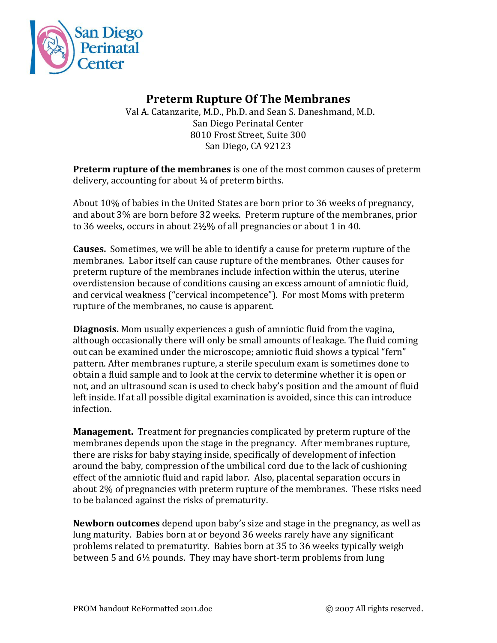

## **Preterm Rupture Of The Membranes**

 Val A. Catanzarite, M.D., Ph.D. and Sean S. Daneshmand, M.D. San Diego Perinatal Center 8010 Frost Street, Suite 300 San Diego, CA 92123

**Preterm rupture of the membranes** is one of the most common causes of preterm delivery, accounting for about  $\frac{1}{4}$  of preterm births.

About 10% of babies in the United States are born prior to 36 weeks of pregnancy, and about 3% are born before 32 weeks. Preterm rupture of the membranes, prior to 36 weeks, occurs in about 2½% of all pregnancies or about 1 in 40.

**Causes.** Sometimes, we will be able to identify a cause for preterm rupture of the membranes. Labor itself can cause rupture of the membranes. Other causes for preterm rupture of the membranes include infection within the uterus, uterine overdistension because of conditions causing an excess amount of amniotic fluid, and cervical weakness ("cervical incompetence"). For most Moms with preterm rupture of the membranes, no cause is apparent.

**Diagnosis.** Mom usually experiences a gush of amniotic fluid from the vagina, although occasionally there will only be small amounts of leakage. The fluid coming out can be examined under the microscope; amniotic fluid shows a typical "fern" pattern. After membranes rupture, a sterile speculum exam is sometimes done to obtain a fluid sample and to look at the cervix to determine whether it is open or not, and an ultrasound scan is used to check baby's position and the amount of fluid left inside. If at all possible digital examination is avoided, since this can introduce infection.

**Management.** Treatment for pregnancies complicated by preterm rupture of the membranes depends upon the stage in the pregnancy. After membranes rupture, there are risks for baby staying inside, specifically of development of infection around the baby, compression of the umbilical cord due to the lack of cushioning effect of the amniotic fluid and rapid labor. Also, placental separation occurs in about 2% of pregnancies with preterm rupture of the membranes. These risks need to be balanced against the risks of prematurity.

**Newborn outcomes** depend upon baby's size and stage in the pregnancy, as well as lung maturity. Babies born at or beyond 36 weeks rarely have any significant problems related to prematurity. Babies born at 35 to 36 weeks typically weigh between 5 and 6½ pounds. They may have short-term problems from lung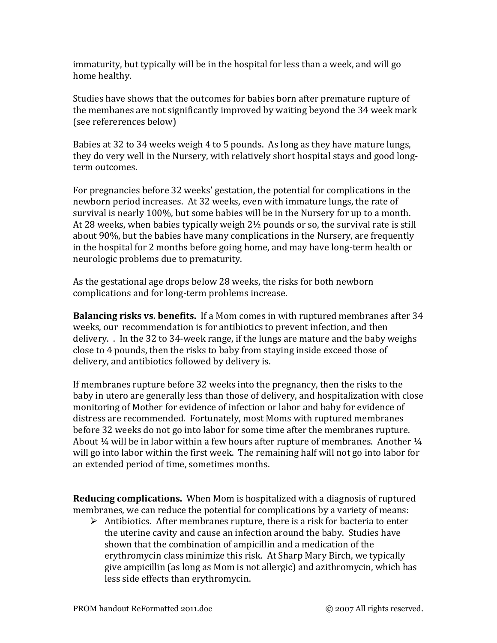immaturity, but typically will be in the hospital for less than a week, and will go home healthy.

Studies have shows that the outcomes for babies born after premature rupture of the membanes are not significantly improved by waiting beyond the 34 week mark (see refererences below)

Babies at 32 to 34 weeks weigh 4 to 5 pounds. As long as they have mature lungs, they do very well in the Nursery, with relatively short hospital stays and good longterm outcomes.

For pregnancies before 32 weeks' gestation, the potential for complications in the newborn period increases. At 32 weeks, even with immature lungs, the rate of survival is nearly 100%, but some babies will be in the Nursery for up to a month. At 28 weeks, when babies typically weigh 2½ pounds or so, the survival rate is still about 90%, but the babies have many complications in the Nursery, are frequently in the hospital for 2 months before going home, and may have long-term health or neurologic problems due to prematurity.

As the gestational age drops below 28 weeks, the risks for both newborn complications and for long-term problems increase.

**Balancing risks vs. benefits.** If a Mom comes in with ruptured membranes after 34 weeks, our recommendation is for antibiotics to prevent infection, and then delivery. . In the 32 to 34-week range, if the lungs are mature and the baby weighs close to 4 pounds, then the risks to baby from staying inside exceed those of delivery, and antibiotics followed by delivery is.

If membranes rupture before 32 weeks into the pregnancy, then the risks to the baby in utero are generally less than those of delivery, and hospitalization with close monitoring of Mother for evidence of infection or labor and baby for evidence of distress are recommended. Fortunately, most Moms with ruptured membranes before 32 weeks do not go into labor for some time after the membranes rupture. About  $\frac{1}{4}$  will be in labor within a few hours after rupture of membranes. Another  $\frac{1}{4}$ will go into labor within the first week. The remaining half will not go into labor for an extended period of time, sometimes months.

**Reducing complications.** When Mom is hospitalized with a diagnosis of ruptured membranes, we can reduce the potential for complications by a variety of means:

 $\triangleright$  Antibiotics. After membranes rupture, there is a risk for bacteria to enter the uterine cavity and cause an infection around the baby. Studies have shown that the combination of ampicillin and a medication of the erythromycin class minimize this risk. At Sharp Mary Birch, we typically give ampicillin (as long as Mom is not allergic) and azithromycin, which has less side effects than erythromycin.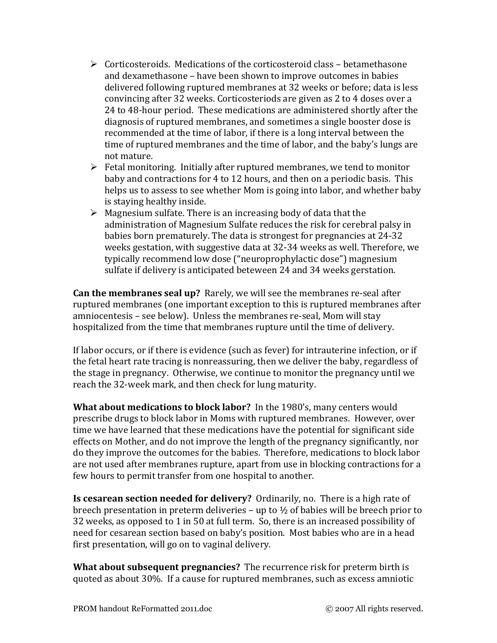- $\triangleright$  Corticosteroids. Medications of the corticosteroid class betamethasone and dexamethasone – have been shown to improve outcomes in babies delivered following ruptured membranes at 32 weeks or before; data is less convincing after 32 weeks. Corticosteriods are given as 2 to 4 doses over a 24 to 48-hour period. These medications are administered shortly after the diagnosis of ruptured membranes, and sometimes a single booster dose is recommended at the time of labor, if there is a long interval between the time of ruptured membranes and the time of labor, and the baby's lungs are not mature.
- $\triangleright$  Fetal monitoring. Initially after ruptured membranes, we tend to monitor baby and contractions for 4 to 12 hours, and then on a periodic basis. This helps us to assess to see whether Mom is going into labor, and whether baby is staying healthy inside.
- $\triangleright$  Magnesium sulfate. There is an increasing body of data that the administration of Magnesium Sulfate reduces the risk for cerebral palsy in babies born prematurely. The data is strongest for pregnancies at 24-32 weeks gestation, with suggestive data at 32-34 weeks as well. Therefore, we typically recommend low dose ("neuroprophylactic dose") magnesium sulfate if delivery is anticipated beteween 24 and 34 weeks gerstation.

**Can the membranes seal up?** Rarely, we will see the membranes re-seal after ruptured membranes (one important exception to this is ruptured membranes after amniocentesis – see below). Unless the membranes re-seal, Mom will stay hospitalized from the time that membranes rupture until the time of delivery.

If labor occurs, or if there is evidence (such as fever) for intrauterine infection, or if the fetal heart rate tracing is nonreassuring, then we deliver the baby, regardless of the stage in pregnancy. Otherwise, we continue to monitor the pregnancy until we reach the 32-week mark, and then check for lung maturity.

**What about medications to block labor?** In the 1980's, many centers would prescribe drugs to block labor in Moms with ruptured membranes. However, over time we have learned that these medications have the potential for significant side effects on Mother, and do not improve the length of the pregnancy significantly, nor do they improve the outcomes for the babies. Therefore, medications to block labor are not used after membranes rupture, apart from use in blocking contractions for a few hours to permit transfer from one hospital to another.

**Is cesarean section needed for delivery?** Ordinarily, no. There is a high rate of breech presentation in preterm deliveries – up to ½ of babies will be breech prior to 32 weeks, as opposed to 1 in 50 at full term. So, there is an increased possibility of need for cesarean section based on baby's position. Most babies who are in a head first presentation, will go on to vaginal delivery.

**What about subsequent pregnancies?** The recurrence risk for preterm birth is quoted as about 30%. If a cause for ruptured membranes, such as excess amniotic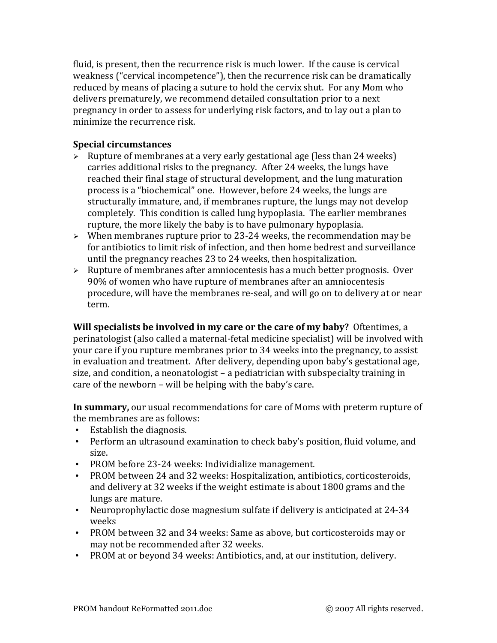fluid, is present, then the recurrence risk is much lower. If the cause is cervical weakness ("cervical incompetence"), then the recurrence risk can be dramatically reduced by means of placing a suture to hold the cervix shut. For any Mom who delivers prematurely, we recommend detailed consultation prior to a next pregnancy in order to assess for underlying risk factors, and to lay out a plan to minimize the recurrence risk.

## **Special circumstances**

- $\triangleright$  Rupture of membranes at a very early gestational age (less than 24 weeks) carries additional risks to the pregnancy. After 24 weeks, the lungs have reached their final stage of structural development, and the lung maturation process is a "biochemical" one. However, before 24 weeks, the lungs are structurally immature, and, if membranes rupture, the lungs may not develop completely. This condition is called lung hypoplasia. The earlier membranes rupture, the more likely the baby is to have pulmonary hypoplasia.
- $\triangleright$  When membranes rupture prior to 23-24 weeks, the recommendation may be for antibiotics to limit risk of infection, and then home bedrest and surveillance until the pregnancy reaches 23 to 24 weeks, then hospitalization.
- $\triangleright$  Rupture of membranes after amniocentesis has a much better prognosis. Over 90% of women who have rupture of membranes after an amniocentesis procedure, will have the membranes re-seal, and will go on to delivery at or near term.

**Will specialists be involved in my care or the care of my baby?** Oftentimes, a perinatologist (also called a maternal-fetal medicine specialist) will be involved with your care if you rupture membranes prior to 34 weeks into the pregnancy, to assist in evaluation and treatment. After delivery, depending upon baby's gestational age, size, and condition, a neonatologist – a pediatrician with subspecialty training in care of the newborn – will be helping with the baby's care.

**In summary,** our usual recommendations for care of Moms with preterm rupture of the membranes are as follows:

- Establish the diagnosis.
- Perform an ultrasound examination to check baby's position, fluid volume, and size.
- PROM before 23-24 weeks: Individialize management.
- PROM between 24 and 32 weeks: Hospitalization, antibiotics, corticosteroids, and delivery at 32 weeks if the weight estimate is about 1800 grams and the lungs are mature.
- Neuroprophylactic dose magnesium sulfate if delivery is anticipated at 24-34 weeks
- PROM between 32 and 34 weeks: Same as above, but corticosteroids may or may not be recommended after 32 weeks.
- PROM at or beyond 34 weeks: Antibiotics, and, at our institution, delivery.